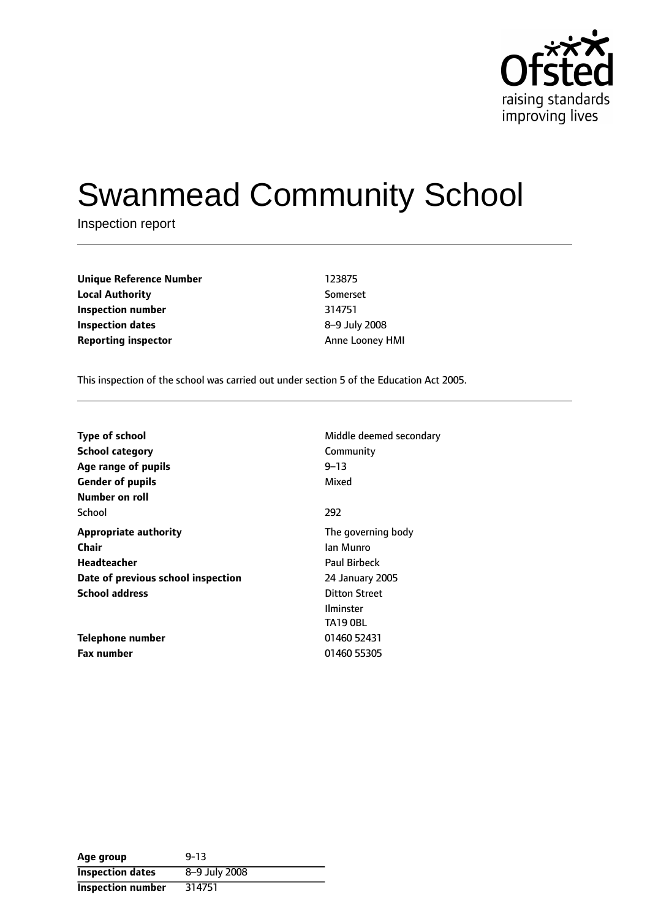

# Swanmead Community School

Inspection report

**Unique Reference Number** 123875 **Local Authority** Somerset **Inspection number** 314751 **Inspection dates** 8-9 July 2008 **Reporting inspector** Anne Looney HMI

This inspection of the school was carried out under section 5 of the Education Act 2005.

| <b>Type of school</b>              | Middle deemed secondary |
|------------------------------------|-------------------------|
| <b>School category</b>             | Community               |
| Age range of pupils                | $9 - 13$                |
| <b>Gender of pupils</b>            | Mixed                   |
| Number on roll                     |                         |
| School                             | 292                     |
| <b>Appropriate authority</b>       | The governing body      |
| <b>Chair</b>                       | Ian Munro               |
| <b>Headteacher</b>                 | <b>Paul Birbeck</b>     |
| Date of previous school inspection | 24 January 2005         |
| <b>School address</b>              | <b>Ditton Street</b>    |
|                                    | <b>Ilminster</b>        |
|                                    | <b>TA19 OBL</b>         |
| Telephone number                   | 01460 52431             |
| <b>Fax number</b>                  | 01460 55305             |

| Age group                | $9 - 13$      |
|--------------------------|---------------|
| <b>Inspection dates</b>  | 8-9 July 2008 |
| <b>Inspection number</b> | 314751        |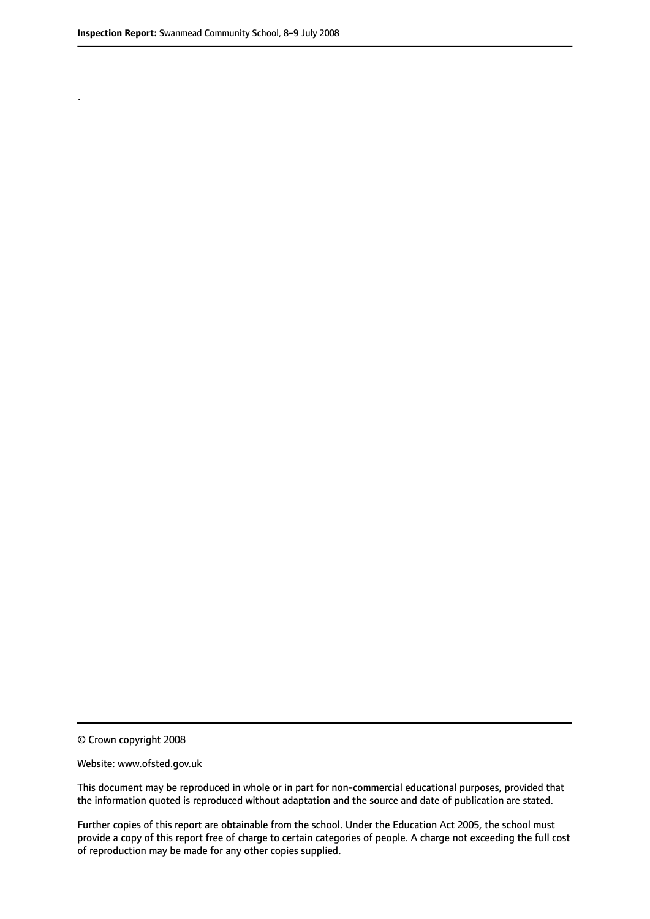.

© Crown copyright 2008

#### Website: www.ofsted.gov.uk

This document may be reproduced in whole or in part for non-commercial educational purposes, provided that the information quoted is reproduced without adaptation and the source and date of publication are stated.

Further copies of this report are obtainable from the school. Under the Education Act 2005, the school must provide a copy of this report free of charge to certain categories of people. A charge not exceeding the full cost of reproduction may be made for any other copies supplied.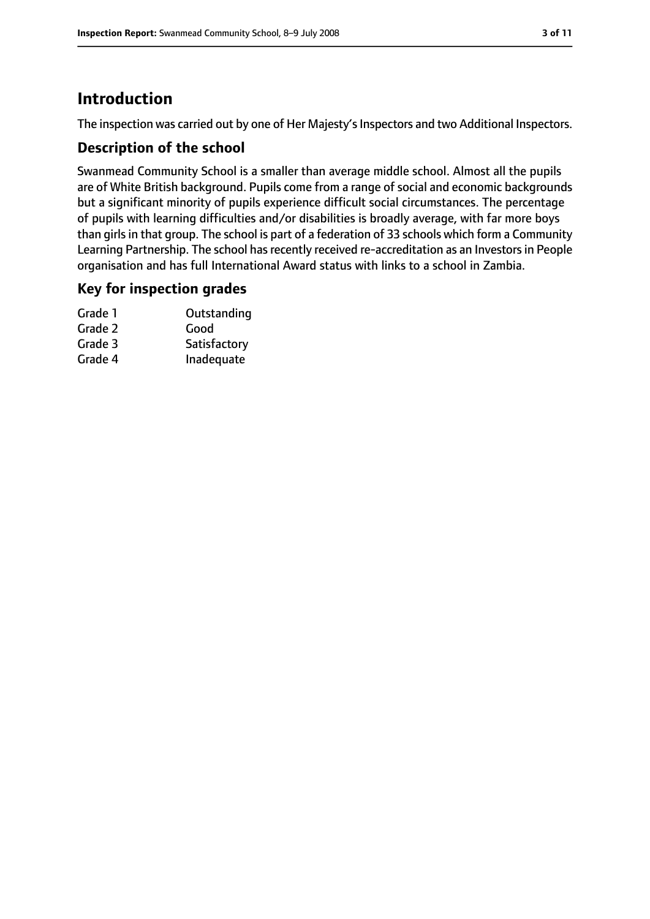# **Introduction**

The inspection was carried out by one of Her Majesty's Inspectors and two Additional Inspectors.

## **Description of the school**

Swanmead Community School is a smaller than average middle school. Almost all the pupils are of White British background. Pupils come from a range of social and economic backgrounds but a significant minority of pupils experience difficult social circumstances. The percentage of pupils with learning difficulties and/or disabilities is broadly average, with far more boys than girls in that group. The school is part of a federation of 33 schools which form a Community Learning Partnership. The school has recently received re-accreditation as an Investors in People organisation and has full International Award status with links to a school in Zambia.

#### **Key for inspection grades**

| Grade 1 | Outstanding  |
|---------|--------------|
| Grade 2 | Good         |
| Grade 3 | Satisfactory |
| Grade 4 | Inadequate   |
|         |              |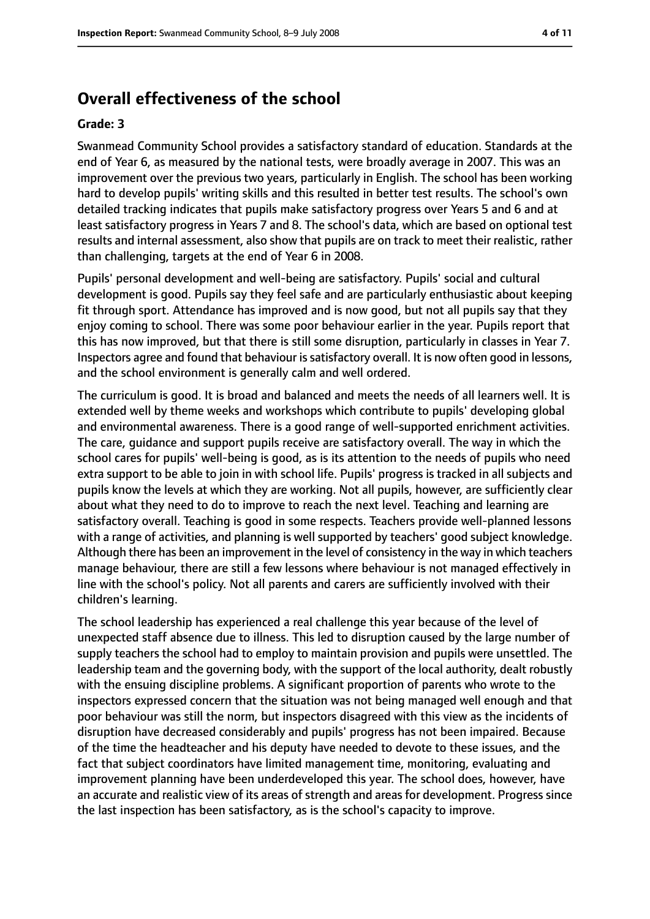# **Overall effectiveness of the school**

#### **Grade: 3**

Swanmead Community School provides a satisfactory standard of education. Standards at the end of Year 6, as measured by the national tests, were broadly average in 2007. This was an improvement over the previous two years, particularly in English. The school has been working hard to develop pupils' writing skills and this resulted in better test results. The school's own detailed tracking indicates that pupils make satisfactory progress over Years 5 and 6 and at least satisfactory progress in Years 7 and 8. The school's data, which are based on optional test results and internal assessment, also show that pupils are on track to meet their realistic, rather than challenging, targets at the end of Year 6 in 2008.

Pupils' personal development and well-being are satisfactory. Pupils' social and cultural development is good. Pupils say they feel safe and are particularly enthusiastic about keeping fit through sport. Attendance has improved and is now good, but not all pupils say that they enjoy coming to school. There was some poor behaviour earlier in the year. Pupils report that this has now improved, but that there is still some disruption, particularly in classes in Year 7. Inspectors agree and found that behaviour is satisfactory overall. It is now often good in lessons, and the school environment is generally calm and well ordered.

The curriculum is good. It is broad and balanced and meets the needs of all learners well. It is extended well by theme weeks and workshops which contribute to pupils' developing global and environmental awareness. There is a good range of well-supported enrichment activities. The care, guidance and support pupils receive are satisfactory overall. The way in which the school cares for pupils' well-being is good, as is its attention to the needs of pupils who need extra support to be able to join in with school life. Pupils' progress is tracked in all subjects and pupils know the levels at which they are working. Not all pupils, however, are sufficiently clear about what they need to do to improve to reach the next level. Teaching and learning are satisfactory overall. Teaching is good in some respects. Teachers provide well-planned lessons with a range of activities, and planning is well supported by teachers' good subject knowledge. Although there has been an improvement in the level of consistency in the way in which teachers manage behaviour, there are still a few lessons where behaviour is not managed effectively in line with the school's policy. Not all parents and carers are sufficiently involved with their children's learning.

The school leadership has experienced a real challenge this year because of the level of unexpected staff absence due to illness. This led to disruption caused by the large number of supply teachers the school had to employ to maintain provision and pupils were unsettled. The leadership team and the governing body, with the support of the local authority, dealt robustly with the ensuing discipline problems. A significant proportion of parents who wrote to the inspectors expressed concern that the situation was not being managed well enough and that poor behaviour was still the norm, but inspectors disagreed with this view as the incidents of disruption have decreased considerably and pupils' progress has not been impaired. Because of the time the headteacher and his deputy have needed to devote to these issues, and the fact that subject coordinators have limited management time, monitoring, evaluating and improvement planning have been underdeveloped this year. The school does, however, have an accurate and realistic view of its areas of strength and areas for development. Progress since the last inspection has been satisfactory, as is the school's capacity to improve.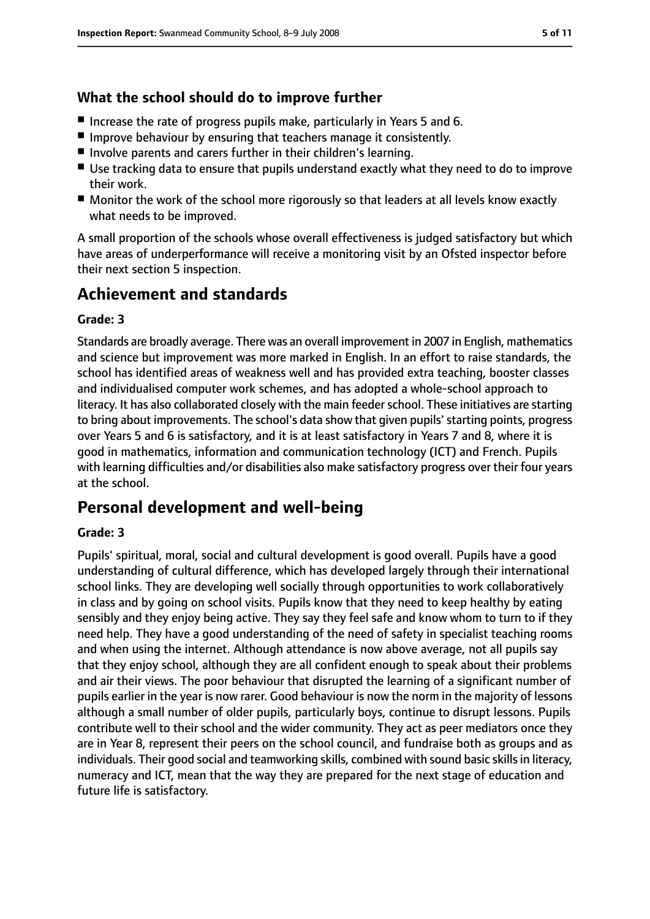# **What the school should do to improve further**

- Increase the rate of progress pupils make, particularly in Years 5 and 6.
- Improve behaviour by ensuring that teachers manage it consistently.
- Involve parents and carers further in their children's learning.
- Use tracking data to ensure that pupils understand exactly what they need to do to improve their work.
- Monitor the work of the school more rigorously so that leaders at all levels know exactly what needs to be improved.

A small proportion of the schools whose overall effectiveness is judged satisfactory but which have areas of underperformance will receive a monitoring visit by an Ofsted inspector before their next section 5 inspection.

# **Achievement and standards**

#### **Grade: 3**

Standards are broadly average. There was an overall improvement in 2007 in English, mathematics and science but improvement was more marked in English. In an effort to raise standards, the school has identified areas of weakness well and has provided extra teaching, booster classes and individualised computer work schemes, and has adopted a whole-school approach to literacy. It has also collaborated closely with the main feederschool. These initiatives are starting to bring about improvements. The school's data show that given pupils' starting points, progress over Years 5 and 6 is satisfactory, and it is at least satisfactory in Years 7 and 8, where it is good in mathematics, information and communication technology (ICT) and French. Pupils with learning difficulties and/or disabilities also make satisfactory progress over their four years at the school.

# **Personal development and well-being**

#### **Grade: 3**

Pupils' spiritual, moral, social and cultural development is good overall. Pupils have a good understanding of cultural difference, which has developed largely through their international school links. They are developing well socially through opportunities to work collaboratively in class and by going on school visits. Pupils know that they need to keep healthy by eating sensibly and they enjoy being active. They say they feel safe and know whom to turn to if they need help. They have a good understanding of the need of safety in specialist teaching rooms and when using the internet. Although attendance is now above average, not all pupils say that they enjoy school, although they are all confident enough to speak about their problems and air their views. The poor behaviour that disrupted the learning of a significant number of pupils earlier in the year is now rarer. Good behaviour is now the norm in the majority of lessons although a small number of older pupils, particularly boys, continue to disrupt lessons. Pupils contribute well to their school and the wider community. They act as peer mediators once they are in Year 8, represent their peers on the school council, and fundraise both as groups and as individuals. Their good social and teamworking skills, combined with sound basic skills in literacy, numeracy and ICT, mean that the way they are prepared for the next stage of education and future life is satisfactory.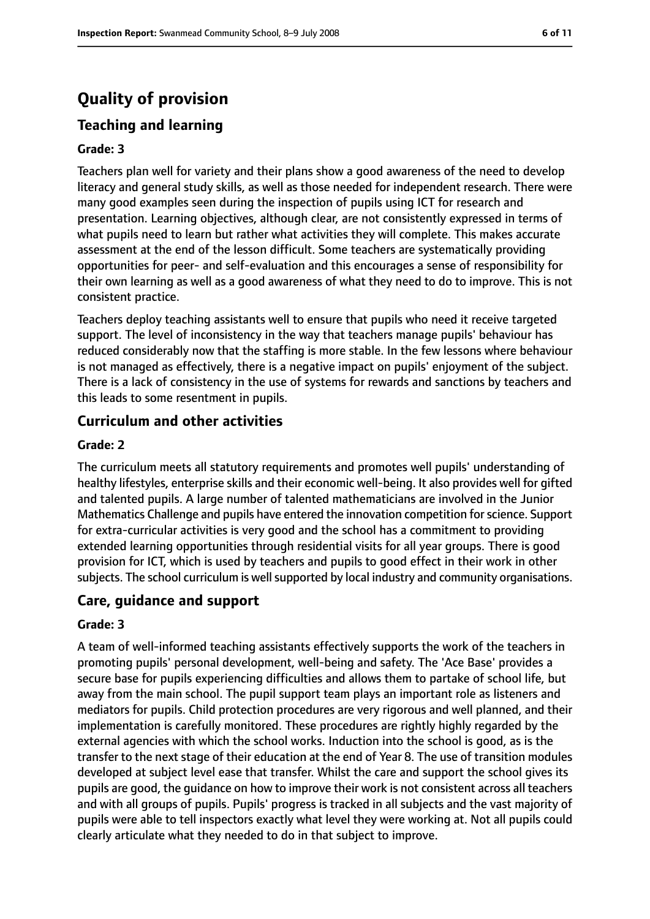# **Quality of provision**

### **Teaching and learning**

#### **Grade: 3**

Teachers plan well for variety and their plans show a good awareness of the need to develop literacy and general study skills, as well as those needed for independent research. There were many good examples seen during the inspection of pupils using ICT for research and presentation. Learning objectives, although clear, are not consistently expressed in terms of what pupils need to learn but rather what activities they will complete. This makes accurate assessment at the end of the lesson difficult. Some teachers are systematically providing opportunities for peer- and self-evaluation and this encourages a sense of responsibility for their own learning as well as a good awareness of what they need to do to improve. This is not consistent practice.

Teachers deploy teaching assistants well to ensure that pupils who need it receive targeted support. The level of inconsistency in the way that teachers manage pupils' behaviour has reduced considerably now that the staffing is more stable. In the few lessons where behaviour is not managed as effectively, there is a negative impact on pupils' enjoyment of the subject. There is a lack of consistency in the use of systems for rewards and sanctions by teachers and this leads to some resentment in pupils.

#### **Curriculum and other activities**

#### **Grade: 2**

The curriculum meets all statutory requirements and promotes well pupils' understanding of healthy lifestyles, enterprise skills and their economic well-being. It also provides well for gifted and talented pupils. A large number of talented mathematicians are involved in the Junior Mathematics Challenge and pupils have entered the innovation competition forscience. Support for extra-curricular activities is very good and the school has a commitment to providing extended learning opportunities through residential visits for all year groups. There is good provision for ICT, which is used by teachers and pupils to good effect in their work in other subjects. The school curriculum is well supported by local industry and community organisations.

#### **Care, guidance and support**

#### **Grade: 3**

A team of well-informed teaching assistants effectively supports the work of the teachers in promoting pupils' personal development, well-being and safety. The 'Ace Base' provides a secure base for pupils experiencing difficulties and allows them to partake of school life, but away from the main school. The pupil support team plays an important role as listeners and mediators for pupils. Child protection procedures are very rigorous and well planned, and their implementation is carefully monitored. These procedures are rightly highly regarded by the external agencies with which the school works. Induction into the school is good, as is the transfer to the next stage of their education at the end of Year 8. The use of transition modules developed at subject level ease that transfer. Whilst the care and support the school gives its pupils are good, the guidance on how to improve their work is not consistent across all teachers and with all groups of pupils. Pupils' progress is tracked in all subjects and the vast majority of pupils were able to tell inspectors exactly what level they were working at. Not all pupils could clearly articulate what they needed to do in that subject to improve.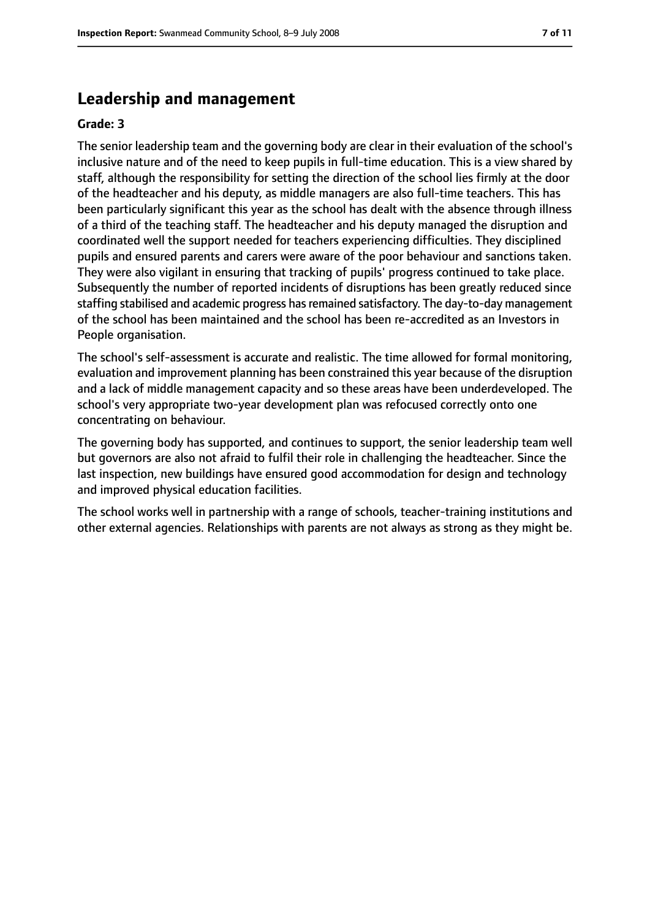# **Leadership and management**

#### **Grade: 3**

The senior leadership team and the governing body are clear in their evaluation of the school's inclusive nature and of the need to keep pupils in full-time education. This is a view shared by staff, although the responsibility for setting the direction of the school lies firmly at the door of the headteacher and his deputy, as middle managers are also full-time teachers. This has been particularly significant this year as the school has dealt with the absence through illness of a third of the teaching staff. The headteacher and his deputy managed the disruption and coordinated well the support needed for teachers experiencing difficulties. They disciplined pupils and ensured parents and carers were aware of the poor behaviour and sanctions taken. They were also vigilant in ensuring that tracking of pupils' progress continued to take place. Subsequently the number of reported incidents of disruptions has been greatly reduced since staffing stabilised and academic progress has remained satisfactory. The day-to-day management of the school has been maintained and the school has been re-accredited as an Investors in People organisation.

The school's self-assessment is accurate and realistic. The time allowed for formal monitoring, evaluation and improvement planning has been constrained this year because of the disruption and a lack of middle management capacity and so these areas have been underdeveloped. The school's very appropriate two-year development plan was refocused correctly onto one concentrating on behaviour.

The governing body has supported, and continues to support, the senior leadership team well but governors are also not afraid to fulfil their role in challenging the headteacher. Since the last inspection, new buildings have ensured good accommodation for design and technology and improved physical education facilities.

The school works well in partnership with a range of schools, teacher-training institutions and other external agencies. Relationships with parents are not always as strong as they might be.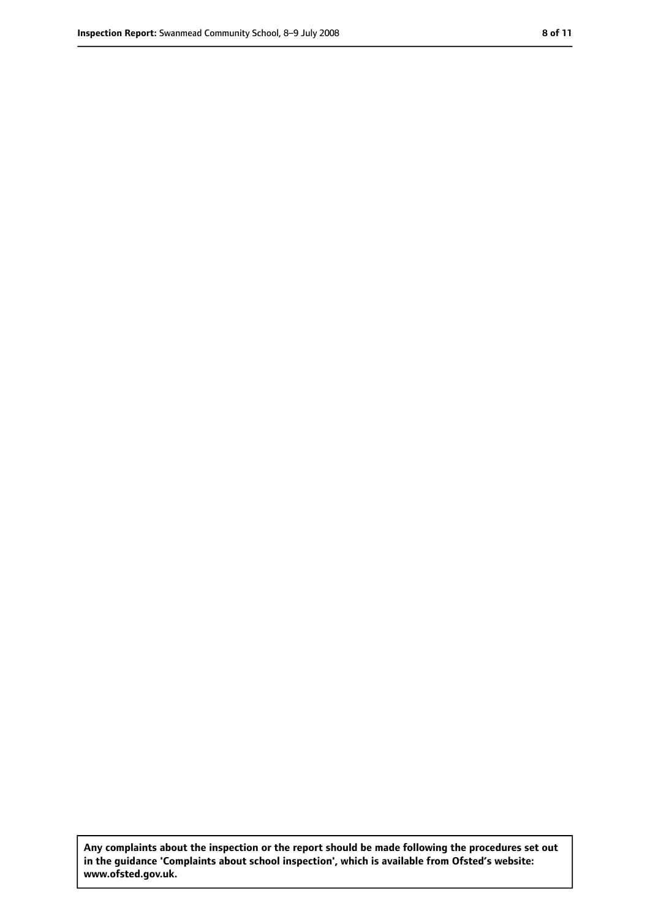**Any complaints about the inspection or the report should be made following the procedures set out in the guidance 'Complaints about school inspection', which is available from Ofsted's website: www.ofsted.gov.uk.**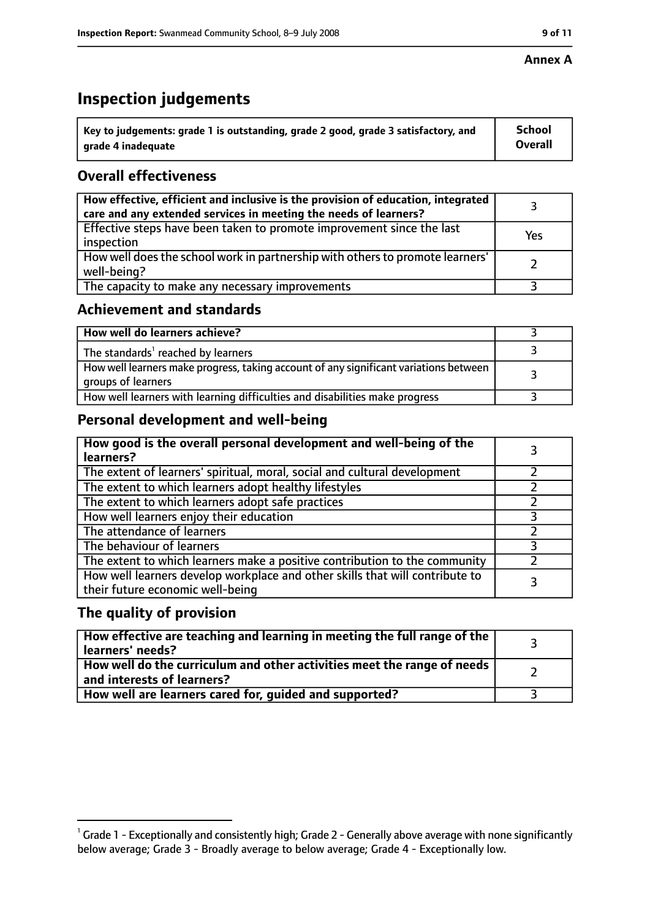#### **Annex A**

# **Inspection judgements**

| $^{\circ}$ Key to judgements: grade 1 is outstanding, grade 2 good, grade 3 satisfactory, and | <b>School</b>  |
|-----------------------------------------------------------------------------------------------|----------------|
| arade 4 inadeguate                                                                            | <b>Overall</b> |

# **Overall effectiveness**

| How effective, efficient and inclusive is the provision of education, integrated<br>care and any extended services in meeting the needs of learners? |     |
|------------------------------------------------------------------------------------------------------------------------------------------------------|-----|
| Effective steps have been taken to promote improvement since the last<br>inspection                                                                  | Yes |
| How well does the school work in partnership with others to promote learners'<br>well-being?                                                         |     |
| The capacity to make any necessary improvements                                                                                                      |     |

# **Achievement and standards**

| How well do learners achieve?                                                                               |  |
|-------------------------------------------------------------------------------------------------------------|--|
| The standards <sup>1</sup> reached by learners                                                              |  |
| How well learners make progress, taking account of any significant variations between<br>groups of learners |  |
| How well learners with learning difficulties and disabilities make progress                                 |  |

# **Personal development and well-being**

| How good is the overall personal development and well-being of the<br>learners?                                  |   |
|------------------------------------------------------------------------------------------------------------------|---|
| The extent of learners' spiritual, moral, social and cultural development                                        |   |
| The extent to which learners adopt healthy lifestyles                                                            |   |
| The extent to which learners adopt safe practices                                                                |   |
| How well learners enjoy their education                                                                          | 3 |
| The attendance of learners                                                                                       |   |
| The behaviour of learners                                                                                        |   |
| The extent to which learners make a positive contribution to the community                                       |   |
| How well learners develop workplace and other skills that will contribute to<br>their future economic well-being |   |

### **The quality of provision**

| How effective are teaching and learning in meeting the full range of the<br>learners' needs?                        |  |
|---------------------------------------------------------------------------------------------------------------------|--|
| How well do the curriculum and other activities meet the range of needs<br>$^{\text{!}}$ and interests of learners? |  |
| How well are learners cared for, guided and supported?                                                              |  |

 $^1$  Grade 1 - Exceptionally and consistently high; Grade 2 - Generally above average with none significantly below average; Grade 3 - Broadly average to below average; Grade 4 - Exceptionally low.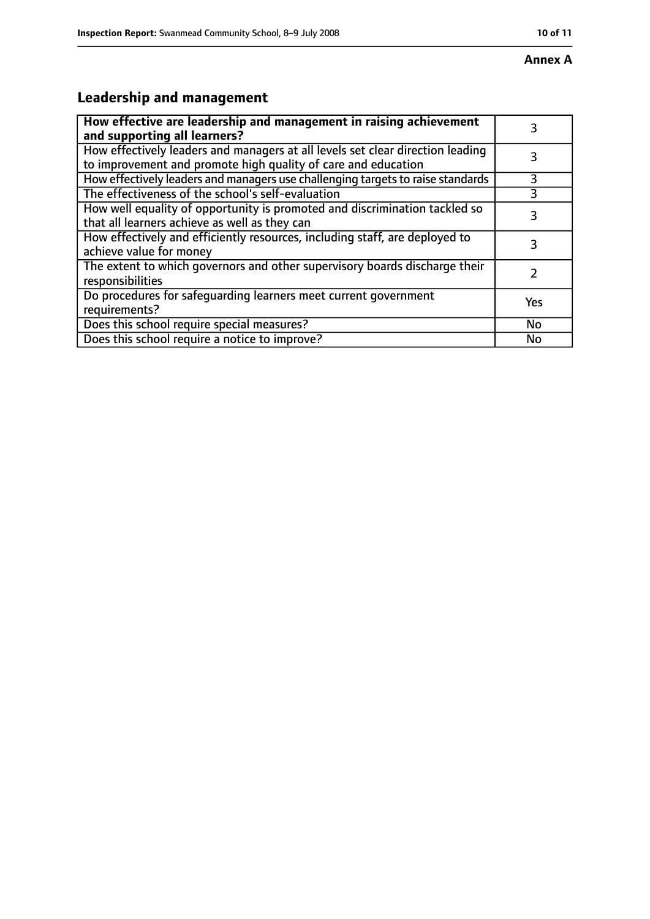# **Leadership and management**

| How effective are leadership and management in raising achievement<br>and supporting all learners?                                              |     |
|-------------------------------------------------------------------------------------------------------------------------------------------------|-----|
| How effectively leaders and managers at all levels set clear direction leading<br>to improvement and promote high quality of care and education |     |
| How effectively leaders and managers use challenging targets to raise standards                                                                 | 3   |
| The effectiveness of the school's self-evaluation                                                                                               | 3   |
| How well equality of opportunity is promoted and discrimination tackled so<br>that all learners achieve as well as they can                     | 3   |
| How effectively and efficiently resources, including staff, are deployed to<br>achieve value for money                                          | 3   |
| The extent to which governors and other supervisory boards discharge their<br>responsibilities                                                  |     |
| Do procedures for safequarding learners meet current government<br>requirements?                                                                | Yes |
| Does this school require special measures?                                                                                                      | No  |
| Does this school require a notice to improve?                                                                                                   | No  |